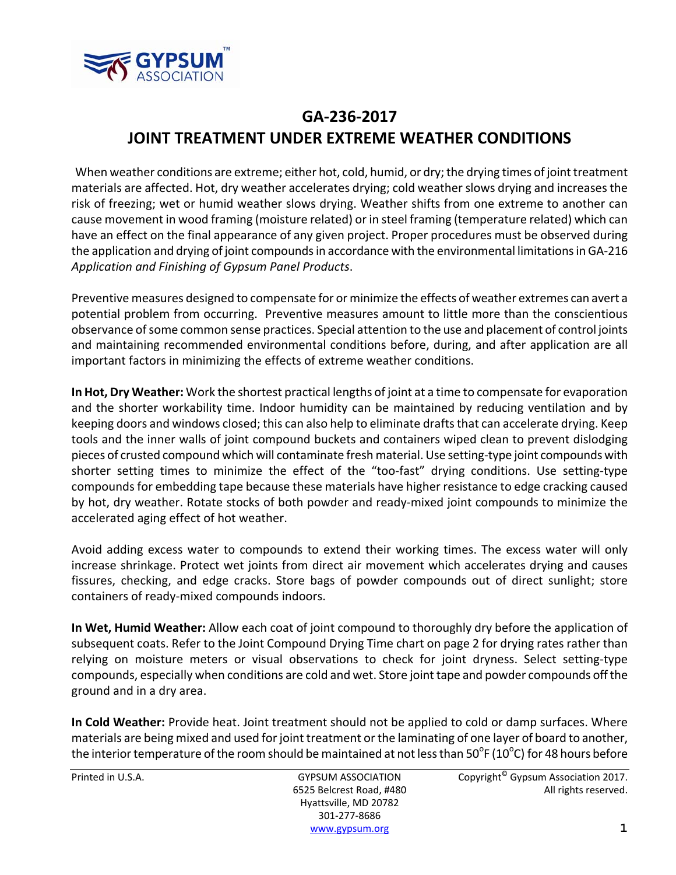

## **GA‐236‐2017 JOINT TREATMENT UNDER EXTREME WEATHER CONDITIONS**

When weather conditions are extreme; either hot, cold, humid, or dry; the drying times of joint treatment materials are affected. Hot, dry weather accelerates drying; cold weather slows drying and increasesthe risk of freezing; wet or humid weather slows drying. Weather shifts from one extreme to another can cause movement in wood framing (moisture related) or in steel framing (temperature related) which can have an effect on the final appearance of any given project. Proper procedures must be observed during the application and drying of joint compounds in accordance with the environmental limitations in GA-216 *Application and Finishing of Gypsum Panel Products*.

Preventive measures designed to compensate for or minimize the effects of weather extremes can avert a potential problem from occurring. Preventive measures amount to little more than the conscientious observance of some common sense practices. Special attention to the use and placement of control joints and maintaining recommended environmental conditions before, during, and after application are all important factors in minimizing the effects of extreme weather conditions.

**In Hot, Dry Weather:** Work the shortest practical lengths of joint at a time to compensate for evaporation and the shorter workability time. Indoor humidity can be maintained by reducing ventilation and by keeping doors and windows closed; this can also help to eliminate drafts that can accelerate drying. Keep tools and the inner walls of joint compound buckets and containers wiped clean to prevent dislodging pieces of crusted compound which will contaminate fresh material. Use setting-type joint compounds with shorter setting times to minimize the effect of the "too-fast" drying conditions. Use setting-type compounds for embedding tape because these materials have higher resistance to edge cracking caused by hot, dry weather. Rotate stocks of both powder and ready‐mixed joint compounds to minimize the accelerated aging effect of hot weather.

Avoid adding excess water to compounds to extend their working times. The excess water will only increase shrinkage. Protect wet joints from direct air movement which accelerates drying and causes fissures, checking, and edge cracks. Store bags of powder compounds out of direct sunlight; store containers of ready‐mixed compounds indoors.

**In Wet, Humid Weather:** Allow each coat of joint compound to thoroughly dry before the application of subsequent coats. Refer to the Joint Compound Drying Time chart on page 2 for drying rates rather than relying on moisture meters or visual observations to check for joint dryness. Select setting-type compounds, especially when conditions are cold and wet. Store joint tape and powder compounds off the ground and in a dry area.

**In Cold Weather:** Provide heat. Joint treatment should not be applied to cold or damp surfaces. Where materials are being mixed and used for joint treatment or the laminating of one layer of board to another, the interior temperature of the room should be maintained at not less than 50<sup>o</sup>F (10<sup>o</sup>C) for 48 hours before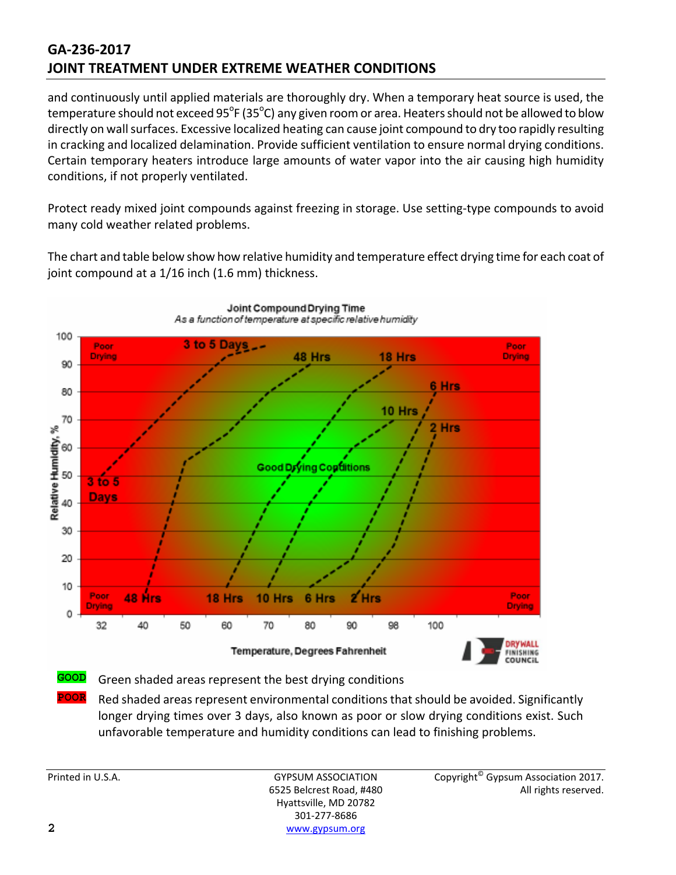## **GA‐236‐2017 JOINT TREATMENT UNDER EXTREME WEATHER CONDITIONS**

and continuously until applied materials are thoroughly dry. When a temporary heat source is used, the temperature should not exceed 95°F (35°C) any given room or area. Heaters should not be allowed to blow directly on wall surfaces. Excessive localized heating can cause joint compound to dry too rapidly resulting in cracking and localized delamination. Provide sufficient ventilation to ensure normal drying conditions. Certain temporary heaters introduce large amounts of water vapor into the air causing high humidity conditions, if not properly ventilated.

Protect ready mixed joint compounds against freezing in storage. Use setting‐type compounds to avoid many cold weather related problems.

The chart and table below show how relative humidity and temperature effect drying time for each coat of joint compound at a 1/16 inch (1.6 mm) thickness.



Joint Compound Drying Time As a function of temperature at specific relative humidity

**POOR** Red shaded areas represent environmental conditions that should be avoided. Significantly longer drying times over 3 days, also known as poor or slow drying conditions exist. Such unfavorable temperature and humidity conditions can lead to finishing problems.

Hyattsville, MD 20782 301‐277‐8686 **2** www.gypsum.org

Printed in U.S.A. **Example 2017** GYPSUM ASSOCIATION Copyright<sup>©</sup> Gypsum Association 2017. 6525 Belcrest Road, #480 All rights reserved.